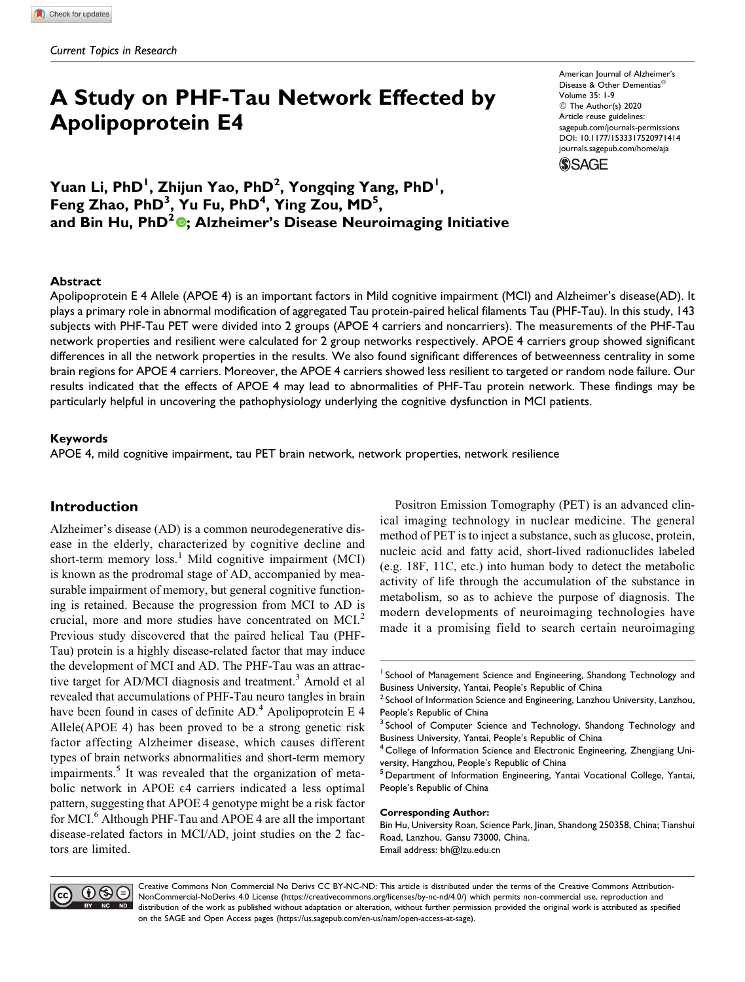# **A Study on PHF-Tau Network Effected by Apolipoprotein E4**

American Journal of Alzheimer's Disease & Other Dementias Volume 35: 1-9 © The Author(s) 2020 Article reuse guidelines: [sagepub.com/journals-permissions](https://sagepub.com/journals-permissions) [DOI: 10.1177/1533317520971414](https://doi.org/10.1177/1533317520971414) [journals.sagepub.com/home/aja](http://journals.sagepub.com/home/aja)

**SSAGE** 

**Yuan Li, PhD1 , Zhijun Yao, PhD<sup>2</sup> , Yongqing Yang, PhD<sup>1</sup> ,** Feng Zhao, PhD<sup>3</sup>, Yu Fu, PhD<sup>4</sup>, Ying Zou, MD<sup>5</sup>, **and Bin Hu, PhD2 [;](https://orcid.org/0000-0003-3514-5413) Alzheimer's Disease Neuroimaging Initiative**

### **Abstract**

Apolipoprotein E 4 Allele (APOE 4) is an important factors in Mild cognitive impairment (MCI) and Alzheimer's disease(AD). It plays a primary role in abnormal modification of aggregated Tau protein-paired helical filaments Tau (PHF-Tau). In this study, 143 subjects with PHF-Tau PET were divided into 2 groups (APOE 4 carriers and noncarriers). The measurements of the PHF-Tau network properties and resilient were calculated for 2 group networks respectively. APOE 4 carriers group showed significant differences in all the network properties in the results. We also found significant differences of betweenness centrality in some brain regions for APOE 4 carriers. Moreover, the APOE 4 carriers showed less resilient to targeted or random node failure. Our results indicated that the effects of APOE 4 may lead to abnormalities of PHF-Tau protein network. These findings may be particularly helpful in uncovering the pathophysiology underlying the cognitive dysfunction in MCI patients.

#### **Keywords**

APOE 4, mild cognitive impairment, tau PET brain network, network properties, network resilience

# **Introduction**

Alzheimer's disease (AD) is a common neurodegenerative disease in the elderly, characterized by cognitive decline and short-term memory  $loss<sup>1</sup>$  Mild cognitive impairment (MCI) is known as the prodromal stage of AD, accompanied by measurable impairment of memory, but general cognitive functioning is retained. Because the progression from MCI to AD is crucial, more and more studies have concentrated on MCI.<sup>2</sup> Previous study discovered that the paired helical Tau (PHF-Tau) protein is a highly disease-related factor that may induce the development of MCI and AD. The PHF-Tau was an attractive target for AD/MCI diagnosis and treatment.<sup>3</sup> Arnold et al revealed that accumulations of PHF-Tau neuro tangles in brain have been found in cases of definite  $AD<sup>4</sup>$  Apolipoprotein E 4 Allele(APOE 4) has been proved to be a strong genetic risk factor affecting Alzheimer disease, which causes different types of brain networks abnormalities and short-term memory impairments.<sup>5</sup> It was revealed that the organization of metabolic network in APOE E4 carriers indicated a less optimal pattern, suggesting that APOE 4 genotype might be a risk factor for MCI.<sup>6</sup> Although PHF-Tau and APOE 4 are all the important disease-related factors in MCI/AD, joint studies on the 2 factors are limited.

Positron Emission Tomography (PET) is an advanced clinical imaging technology in nuclear medicine. The general method of PET is to inject a substance, such as glucose, protein, nucleic acid and fatty acid, short-lived radionuclides labeled (e.g. 18F, 11C, etc.) into human body to detect the metabolic activity of life through the accumulation of the substance in metabolism, so as to achieve the purpose of diagnosis. The modern developments of neuroimaging technologies have made it a promising field to search certain neuroimaging

#### **Corresponding Author:**

Bin Hu, University Roan, Science Park, Jinan, Shandong 250358, China; Tianshui Road, Lanzhou, Gansu 73000, China. Email address: [bh@lzu.edu.cn](mailto:bh@lzu.edu.cn)



Creative Commons Non Commercial No Derivs CC BY-NC-ND: This article is distributed under the terms of the Creative Commons Attribution-NonCommercial-NoDerivs 4.0 License [\(https://creativecommons.org/licenses/by-nc-nd/4.0/\)](https://creativecommons.org/licenses/by-nc-nd/4.0/) which permits non-commercial use, reproduction and distribution of the work as published without adaptation or alteration, without further permission provided the original work is attributed as specified on the SAGE and Open Access pages (<https://us.sagepub.com/en-us/nam/open-access-at-sage>).

School of Management Science and Engineering, Shandong Technology and Business University, Yantai, People's Republic of China

 $2$  School of Information Science and Engineering, Lanzhou University, Lanzhou, People's Republic of China

<sup>&</sup>lt;sup>3</sup> School of Computer Science and Technology, Shandong Technology and Business University, Yantai, People's Republic of China

<sup>&</sup>lt;sup>4</sup> College of Information Science and Electronic Engineering, Zhengjiang University, Hangzhou, People's Republic of China

<sup>&</sup>lt;sup>5</sup> Department of Information Engineering, Yantai Vocational College, Yantai, People's Republic of China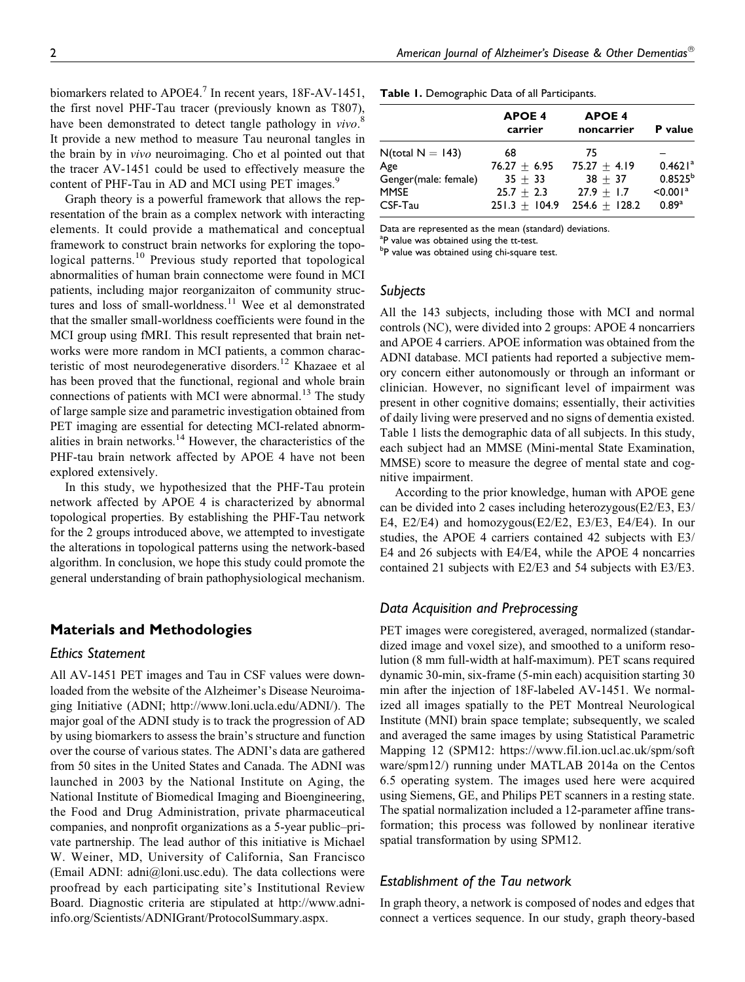Graph theory is a powerful framework that allows the representation of the brain as a complex network with interacting elements. It could provide a mathematical and conceptual framework to construct brain networks for exploring the topological patterns.<sup>10</sup> Previous study reported that topological abnormalities of human brain connectome were found in MCI patients, including major reorganizaiton of community structures and loss of small-worldness.<sup>11</sup> Wee et al demonstrated that the smaller small-worldness coefficients were found in the MCI group using fMRI. This result represented that brain networks were more random in MCI patients, a common characteristic of most neurodegenerative disorders.<sup>12</sup> Khazaee et al has been proved that the functional, regional and whole brain connections of patients with MCI were abnormal.<sup>13</sup> The study of large sample size and parametric investigation obtained from PET imaging are essential for detecting MCI-related abnormalities in brain networks. $14$  However, the characteristics of the PHF-tau brain network affected by APOE 4 have not been explored extensively.

In this study, we hypothesized that the PHF-Tau protein network affected by APOE 4 is characterized by abnormal topological properties. By establishing the PHF-Tau network for the 2 groups introduced above, we attempted to investigate the alterations in topological patterns using the network-based algorithm. In conclusion, we hope this study could promote the general understanding of brain pathophysiological mechanism.

# **Materials and Methodologies**

### *Ethics Statement*

All AV-1451 PET images and Tau in CSF values were downloaded from the website of the Alzheimer's Disease Neuroimaging Initiative (ADNI; [http://www.loni.ucla.edu/ADNI/\)](http://www.loni.ucla.edu/ADNI/). The major goal of the ADNI study is to track the progression of AD by using biomarkers to assess the brain's structure and function over the course of various states. The ADNI's data are gathered from 50 sites in the United States and Canada. The ADNI was launched in 2003 by the National Institute on Aging, the National Institute of Biomedical Imaging and Bioengineering, the Food and Drug Administration, private pharmaceutical companies, and nonprofit organizations as a 5-year public–private partnership. The lead author of this initiative is Michael W. Weiner, MD, University of California, San Francisco (Email ADNI: [adni@loni.usc.edu](mailto:adni@loni.usc.edu)). The data collections were proofread by each participating site's Institutional Review Board. Diagnostic criteria are stipulated at [http://www.adni](http://www.adni-info.org/Scientists/ADNIGrant/ProtocolSummary.aspx)[info.org/Scientists/ADNIGrant/ProtocolSummary.aspx](http://www.adni-info.org/Scientists/ADNIGrant/ProtocolSummary.aspx).

**Table 1.** Demographic Data of all Participants.

|                        | <b>APOE 4</b><br>carrier        | <b>APOE 4</b><br>noncarrier     | <b>P</b> value                              |
|------------------------|---------------------------------|---------------------------------|---------------------------------------------|
| $N(total N = 143)$     | 68                              | 75                              |                                             |
| Age                    | $76.27 + 6.95$                  | $75.27 + 4.19$                  | $0.4621$ <sup>a</sup>                       |
| Genger(male: female)   | $35 + 33$                       | $38 + 37$                       | $0.8525^{b}$                                |
| <b>MMSE</b><br>CSF-Tau | $25.7 + 2.3$<br>$251.3 + 104.9$ | $27.9 + 1.7$<br>$254.6 + 128.2$ | $< 0.001$ <sup>a</sup><br>0.89 <sup>a</sup> |

Data are represented as the mean (standard) deviations.

<sup>a</sup>P value was obtained using the tt-test.

<sup>b</sup>P value was obtained using chi-square test.

#### *Subjects*

All the 143 subjects, including those with MCI and normal controls (NC), were divided into 2 groups: APOE 4 noncarriers and APOE 4 carriers. APOE information was obtained from the ADNI database. MCI patients had reported a subjective memory concern either autonomously or through an informant or clinician. However, no significant level of impairment was present in other cognitive domains; essentially, their activities of daily living were preserved and no signs of dementia existed. Table 1 lists the demographic data of all subjects. In this study, each subject had an MMSE (Mini-mental State Examination, MMSE) score to measure the degree of mental state and cognitive impairment.

According to the prior knowledge, human with APOE gene can be divided into 2 cases including heterozygous(E2/E3, E3/ E4, E2/E4) and homozygous(E2/E2, E3/E3, E4/E4). In our studies, the APOE 4 carriers contained 42 subjects with E3/ E4 and 26 subjects with E4/E4, while the APOE 4 noncarries contained 21 subjects with E2/E3 and 54 subjects with E3/E3.

### *Data Acquisition and Preprocessing*

PET images were coregistered, averaged, normalized (standardized image and voxel size), and smoothed to a uniform resolution (8 mm full-width at half-maximum). PET scans required dynamic 30-min, six-frame (5-min each) acquisition starting 30 min after the injection of 18F-labeled AV-1451. We normalized all images spatially to the PET Montreal Neurological Institute (MNI) brain space template; subsequently, we scaled and averaged the same images by using Statistical Parametric Mapping 12 (SPM12: [https://www.fil.ion.ucl.ac.uk/spm/soft](https://www.fil.ion.ucl.ac.uk/spm/software/spm12/) [ware/spm12/\)](https://www.fil.ion.ucl.ac.uk/spm/software/spm12/) running under MATLAB 2014a on the Centos 6.5 operating system. The images used here were acquired using Siemens, GE, and Philips PET scanners in a resting state. The spatial normalization included a 12-parameter affine transformation; this process was followed by nonlinear iterative spatial transformation by using SPM12.

### *Establishment of the Tau network*

In graph theory, a network is composed of nodes and edges that connect a vertices sequence. In our study, graph theory-based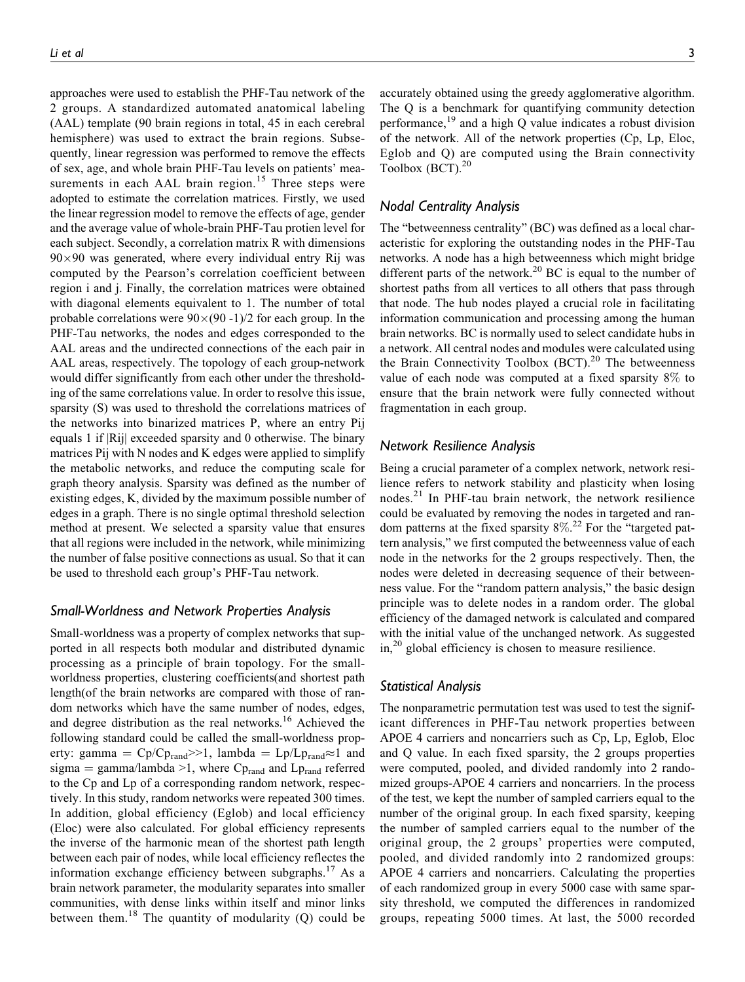approaches were used to establish the PHF-Tau network of the 2 groups. A standardized automated anatomical labeling (AAL) template (90 brain regions in total, 45 in each cerebral hemisphere) was used to extract the brain regions. Subsequently, linear regression was performed to remove the effects of sex, age, and whole brain PHF-Tau levels on patients' measurements in each AAL brain region.<sup>15</sup> Three steps were adopted to estimate the correlation matrices. Firstly, we used the linear regression model to remove the effects of age, gender and the average value of whole-brain PHF-Tau protien level for each subject. Secondly, a correlation matrix R with dimensions 90-90 was generated, where every individual entry Rij was computed by the Pearson's correlation coefficient between region i and j. Finally, the correlation matrices were obtained with diagonal elements equivalent to 1. The number of total probable correlations were  $90\times(90 - 1)/2$  for each group. In the PHF-Tau networks, the nodes and edges corresponded to the AAL areas and the undirected connections of the each pair in AAL areas, respectively. The topology of each group-network would differ significantly from each other under the thresholding of the same correlations value. In order to resolve this issue, sparsity (S) was used to threshold the correlations matrices of the networks into binarized matrices P, where an entry Pij equals 1 if |Rij| exceeded sparsity and 0 otherwise. The binary matrices Pij with N nodes and K edges were applied to simplify the metabolic networks, and reduce the computing scale for graph theory analysis. Sparsity was defined as the number of existing edges, K, divided by the maximum possible number of edges in a graph. There is no single optimal threshold selection method at present. We selected a sparsity value that ensures that all regions were included in the network, while minimizing the number of false positive connections as usual. So that it can be used to threshold each group's PHF-Tau network.

### *Small-Worldness and Network Properties Analysis*

Small-worldness was a property of complex networks that supported in all respects both modular and distributed dynamic processing as a principle of brain topology. For the smallworldness properties, clustering coefficients(and shortest path length(of the brain networks are compared with those of random networks which have the same number of nodes, edges, and degree distribution as the real networks.<sup>16</sup> Achieved the following standard could be called the small-worldness property: gamma =  $Cp/Cp_{rand} \geq 1$ , lambda =  $Lp/Lp_{rand} \approx 1$  and sigma = gamma/lambda >1, where Cp<sub>rand</sub> and Lp<sub>rand</sub> referred to the Cp and Lp of a corresponding random network, respectively. In this study, random networks were repeated 300 times. In addition, global efficiency (Eglob) and local efficiency (Eloc) were also calculated. For global efficiency represents the inverse of the harmonic mean of the shortest path length between each pair of nodes, while local efficiency reflectes the information exchange efficiency between subgraphs.<sup>17</sup> As a brain network parameter, the modularity separates into smaller communities, with dense links within itself and minor links between them.<sup>18</sup> The quantity of modularity (Q) could be accurately obtained using the greedy agglomerative algorithm. The Q is a benchmark for quantifying community detection performance, $^{19}$  and a high Q value indicates a robust division of the network. All of the network properties (Cp, Lp, Eloc, Eglob and Q) are computed using the Brain connectivity Toolbox  $(BCT).^{20}$ 

### *Nodal Centrality Analysis*

The "betweenness centrality" (BC) was defined as a local characteristic for exploring the outstanding nodes in the PHF-Tau networks. A node has a high betweenness which might bridge different parts of the network.<sup>20</sup> BC is equal to the number of shortest paths from all vertices to all others that pass through that node. The hub nodes played a crucial role in facilitating information communication and processing among the human brain networks. BC is normally used to select candidate hubs in a network. All central nodes and modules were calculated using the Brain Connectivity Toolbox (BCT).<sup>20</sup> The betweenness value of each node was computed at a fixed sparsity 8% to ensure that the brain network were fully connected without fragmentation in each group.

#### *Network Resilience Analysis*

Being a crucial parameter of a complex network, network resilience refers to network stability and plasticity when losing nodes. $2<sup>1</sup>$  In PHF-tau brain network, the network resilience could be evaluated by removing the nodes in targeted and random patterns at the fixed sparsity 8%. <sup>22</sup> For the "targeted pattern analysis," we first computed the betweenness value of each node in the networks for the 2 groups respectively. Then, the nodes were deleted in decreasing sequence of their betweenness value. For the "random pattern analysis," the basic design principle was to delete nodes in a random order. The global efficiency of the damaged network is calculated and compared with the initial value of the unchanged network. As suggested in,20 global efficiency is chosen to measure resilience.

### *Statistical Analysis*

The nonparametric permutation test was used to test the significant differences in PHF-Tau network properties between APOE 4 carriers and noncarriers such as Cp, Lp, Eglob, Eloc and Q value. In each fixed sparsity, the 2 groups properties were computed, pooled, and divided randomly into 2 randomized groups-APOE 4 carriers and noncarriers. In the process of the test, we kept the number of sampled carriers equal to the number of the original group. In each fixed sparsity, keeping the number of sampled carriers equal to the number of the original group, the 2 groups' properties were computed, pooled, and divided randomly into 2 randomized groups: APOE 4 carriers and noncarriers. Calculating the properties of each randomized group in every 5000 case with same sparsity threshold, we computed the differences in randomized groups, repeating 5000 times. At last, the 5000 recorded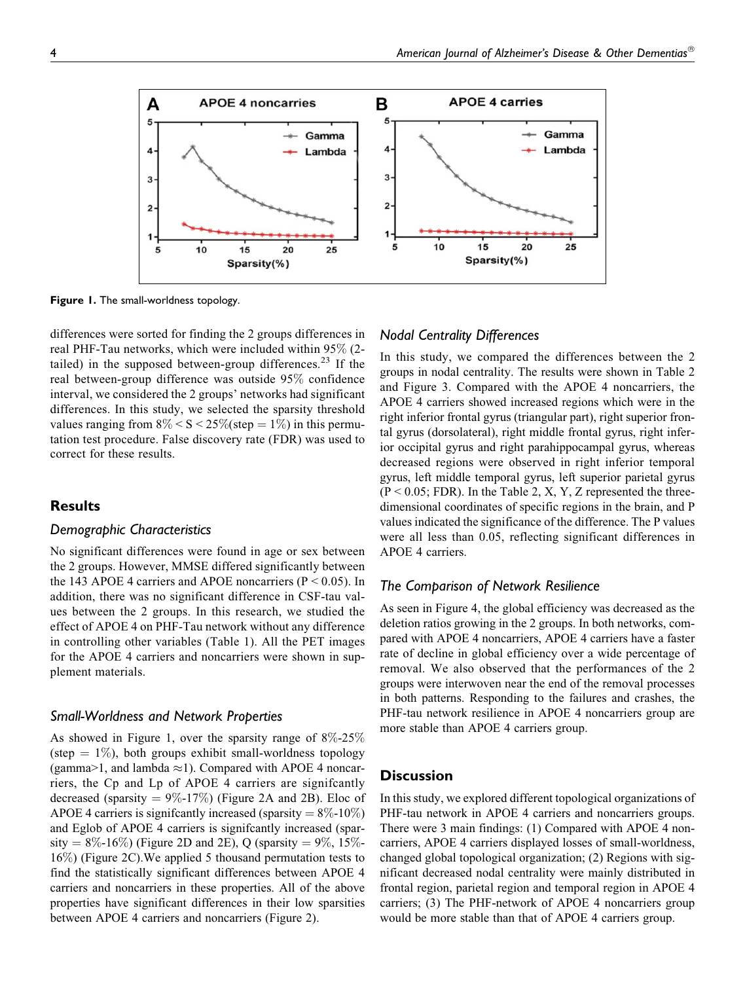

**Figure 1.** The small-worldness topology.

differences were sorted for finding the 2 groups differences in real PHF-Tau networks, which were included within 95% (2 tailed) in the supposed between-group differences.<sup>23</sup> If the real between-group difference was outside 95% confidence interval, we considered the 2 groups' networks had significant differences. In this study, we selected the sparsity threshold values ranging from  $8\% < S < 25\%$  (step = 1%) in this permutation test procedure. False discovery rate (FDR) was used to correct for these results.

# **Results**

### *Demographic Characteristics*

No significant differences were found in age or sex between the 2 groups. However, MMSE differed significantly between the 143 APOE 4 carriers and APOE noncarriers ( $P < 0.05$ ). In addition, there was no significant difference in CSF-tau values between the 2 groups. In this research, we studied the effect of APOE 4 on PHF-Tau network without any difference in controlling other variables (Table 1). All the PET images for the APOE 4 carriers and noncarriers were shown in supplement materials.

### *Small-Worldness and Network Properties*

As showed in Figure 1, over the sparsity range of 8%-25% (step  $= 1\%$ ), both groups exhibit small-worldness topology (gamma>1, and lambda  $\approx$ 1). Compared with APOE 4 noncarriers, the Cp and Lp of APOE 4 carriers are signifcantly decreased (sparsity  $= 9\% - 17\%$ ) (Figure 2A and 2B). Eloc of APOE 4 carriers is significantly increased (sparsity  $= 8\% - 10\%$ ) and Eglob of APOE 4 carriers is signifcantly increased (sparsity =  $8\%$ -16%) (Figure 2D and 2E), Q (sparsity =  $9\%$ , 15%-16%) (Figure 2C).We applied 5 thousand permutation tests to find the statistically significant differences between APOE 4 carriers and noncarriers in these properties. All of the above properties have significant differences in their low sparsities between APOE 4 carriers and noncarriers (Figure 2).

# *Nodal Centrality Differences*

In this study, we compared the differences between the 2 groups in nodal centrality. The results were shown in Table 2 and Figure 3. Compared with the APOE 4 noncarriers, the APOE 4 carriers showed increased regions which were in the right inferior frontal gyrus (triangular part), right superior frontal gyrus (dorsolateral), right middle frontal gyrus, right inferior occipital gyrus and right parahippocampal gyrus, whereas decreased regions were observed in right inferior temporal gyrus, left middle temporal gyrus, left superior parietal gyrus  $(P < 0.05$ ; FDR). In the Table 2, X, Y, Z represented the threedimensional coordinates of specific regions in the brain, and P values indicated the significance of the difference. The P values were all less than 0.05, reflecting significant differences in APOE 4 carriers.

### *The Comparison of Network Resilience*

As seen in Figure 4, the global efficiency was decreased as the deletion ratios growing in the 2 groups. In both networks, compared with APOE 4 noncarriers, APOE 4 carriers have a faster rate of decline in global efficiency over a wide percentage of removal. We also observed that the performances of the 2 groups were interwoven near the end of the removal processes in both patterns. Responding to the failures and crashes, the PHF-tau network resilience in APOE 4 noncarriers group are more stable than APOE 4 carriers group.

# **Discussion**

In this study, we explored different topological organizations of PHF-tau network in APOE 4 carriers and noncarriers groups. There were 3 main findings: (1) Compared with APOE 4 noncarriers, APOE 4 carriers displayed losses of small-worldness, changed global topological organization; (2) Regions with significant decreased nodal centrality were mainly distributed in frontal region, parietal region and temporal region in APOE 4 carriers; (3) The PHF-network of APOE 4 noncarriers group would be more stable than that of APOE 4 carriers group.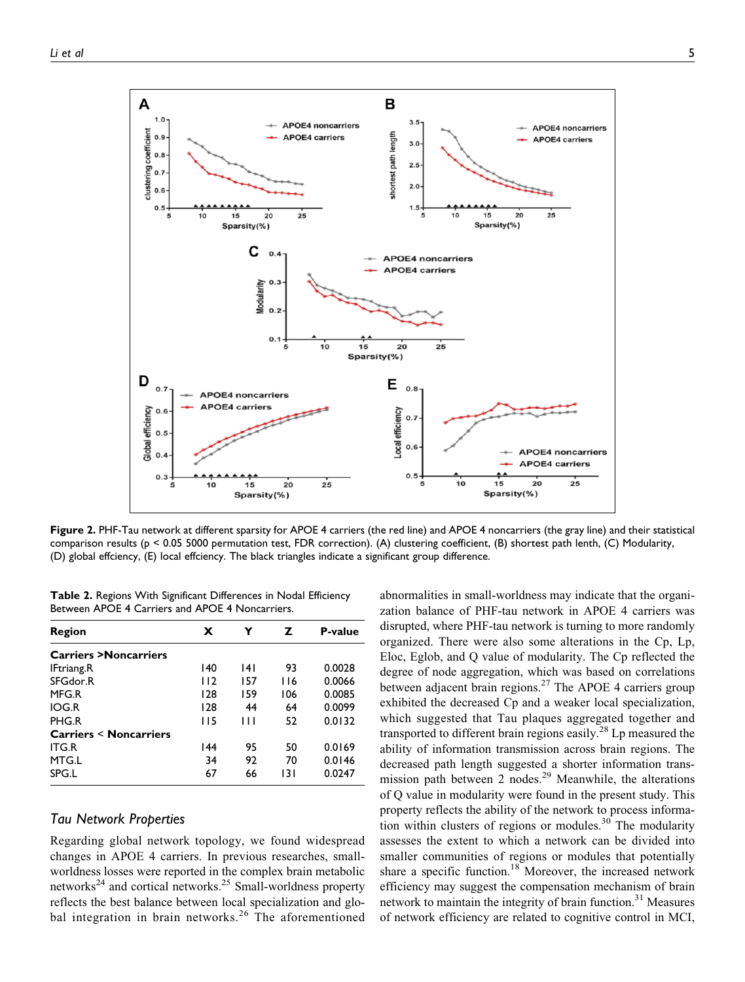

**Figure 2.** PHF-Tau network at different sparsity for APOE 4 carriers (the red line) and APOE 4 noncarriers (the gray line) and their statistical comparison results (p < 0.05 5000 permutation test, FDR correction). (A) clustering coefficient, (B) shortest path lenth, (C) Modularity, (D) global effciency, (E) local effciency. The black triangles indicate a significant group difference.

**Table 2.** Regions With Significant Differences in Nodal Efficiency Between APOE 4 Carriers and APOE 4 Noncarriers.

| Region                           | x   | Y   | z          | <b>P-value</b> |
|----------------------------------|-----|-----|------------|----------------|
| <b>Carriers &gt;Noncarriers</b>  |     |     |            |                |
| <b>IFtriang.R</b>                | 140 | 141 | 93         | 0.0028         |
| SFGdor.R                         | 112 | 157 | <b>116</b> | 0.0066         |
| MFG.R                            | 128 | 159 | 106        | 0.0085         |
| <b>IOG.R</b>                     | 128 | 44  | 64         | 0.0099         |
| PHG.R                            | 115 | Ш   | 52         | 0.0132         |
| <b>Carriers &lt; Noncarriers</b> |     |     |            |                |
| <b>ITG.R</b>                     | 144 | 95  | 50         | 0.0169         |
| MTG.L                            | 34  | 92  | 70         | 0.0146         |
| SPG.L                            | 67  | 66  | 131        | 0.0247         |

# *Tau Network Properties*

Regarding global network topology, we found widespread changes in APOE 4 carriers. In previous researches, smallworldness losses were reported in the complex brain metabolic networks<sup>24</sup> and cortical networks.<sup>25</sup> Small-worldness property reflects the best balance between local specialization and global integration in brain networks.<sup>26</sup> The aforementioned

abnormalities in small-worldness may indicate that the organization balance of PHF-tau network in APOE 4 carriers was disrupted, where PHF-tau network is turning to more randomly organized. There were also some alterations in the Cp, Lp, Eloc, Eglob, and Q value of modularity. The Cp reflected the degree of node aggregation, which was based on correlations between adjacent brain regions.<sup>27</sup> The APOE 4 carriers group exhibited the decreased Cp and a weaker local specialization, which suggested that Tau plaques aggregated together and transported to different brain regions easily.<sup>28</sup> Lp measured the ability of information transmission across brain regions. The decreased path length suggested a shorter information transmission path between 2 nodes.<sup>29</sup> Meanwhile, the alterations of Q value in modularity were found in the present study. This property reflects the ability of the network to process information within clusters of regions or modules.<sup>30</sup> The modularity assesses the extent to which a network can be divided into smaller communities of regions or modules that potentially share a specific function.<sup>18</sup> Moreover, the increased network efficiency may suggest the compensation mechanism of brain network to maintain the integrity of brain function.<sup>31</sup> Measures of network efficiency are related to cognitive control in MCI,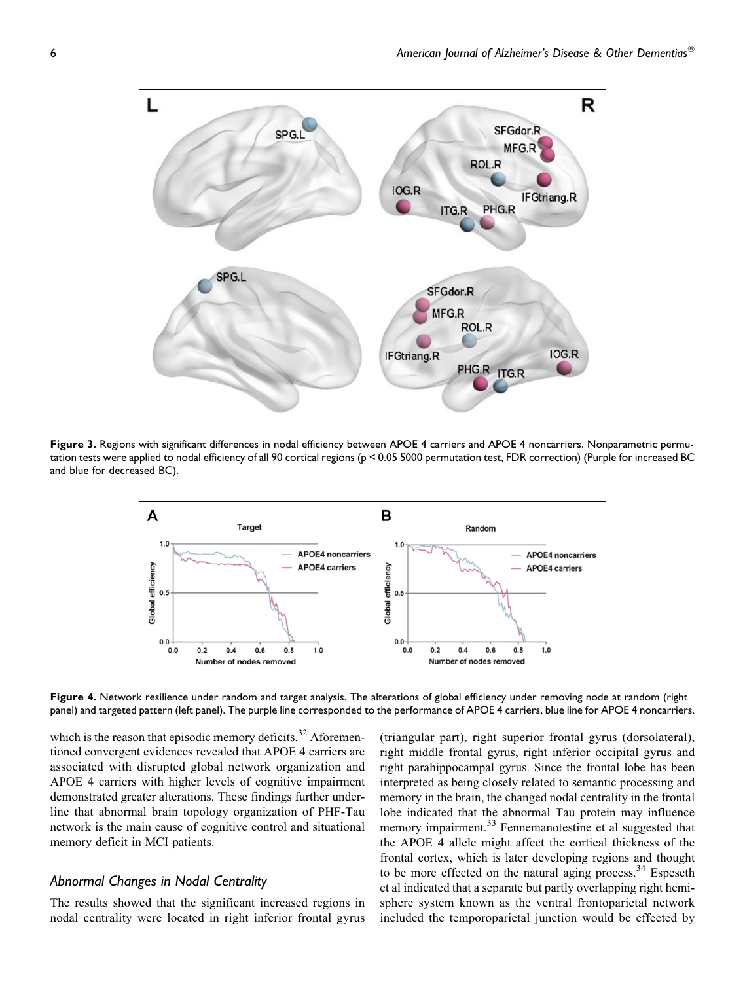

**Figure 3.** Regions with significant differences in nodal efficiency between APOE 4 carriers and APOE 4 noncarriers. Nonparametric permutation tests were applied to nodal efficiency of all 90 cortical regions (p < 0.05 5000 permutation test, FDR correction) (Purple for increased BC and blue for decreased BC).



**Figure 4.** Network resilience under random and target analysis. The alterations of global efficiency under removing node at random (right panel) and targeted pattern (left panel). The purple line corresponded to the performance of APOE 4 carriers, blue line for APOE 4 noncarriers.

which is the reason that episodic memory deficits.<sup>32</sup> Aforementioned convergent evidences revealed that APOE 4 carriers are associated with disrupted global network organization and APOE 4 carriers with higher levels of cognitive impairment demonstrated greater alterations. These findings further underline that abnormal brain topology organization of PHF-Tau network is the main cause of cognitive control and situational memory deficit in MCI patients.

# *Abnormal Changes in Nodal Centrality*

The results showed that the significant increased regions in nodal centrality were located in right inferior frontal gyrus

(triangular part), right superior frontal gyrus (dorsolateral), right middle frontal gyrus, right inferior occipital gyrus and right parahippocampal gyrus. Since the frontal lobe has been interpreted as being closely related to semantic processing and memory in the brain, the changed nodal centrality in the frontal lobe indicated that the abnormal Tau protein may influence memory impairment.<sup>33</sup> Fennemanotestine et al suggested that the APOE 4 allele might affect the cortical thickness of the frontal cortex, which is later developing regions and thought to be more effected on the natural aging process. $34$  Espeseth et al indicated that a separate but partly overlapping right hemisphere system known as the ventral frontoparietal network included the temporoparietal junction would be effected by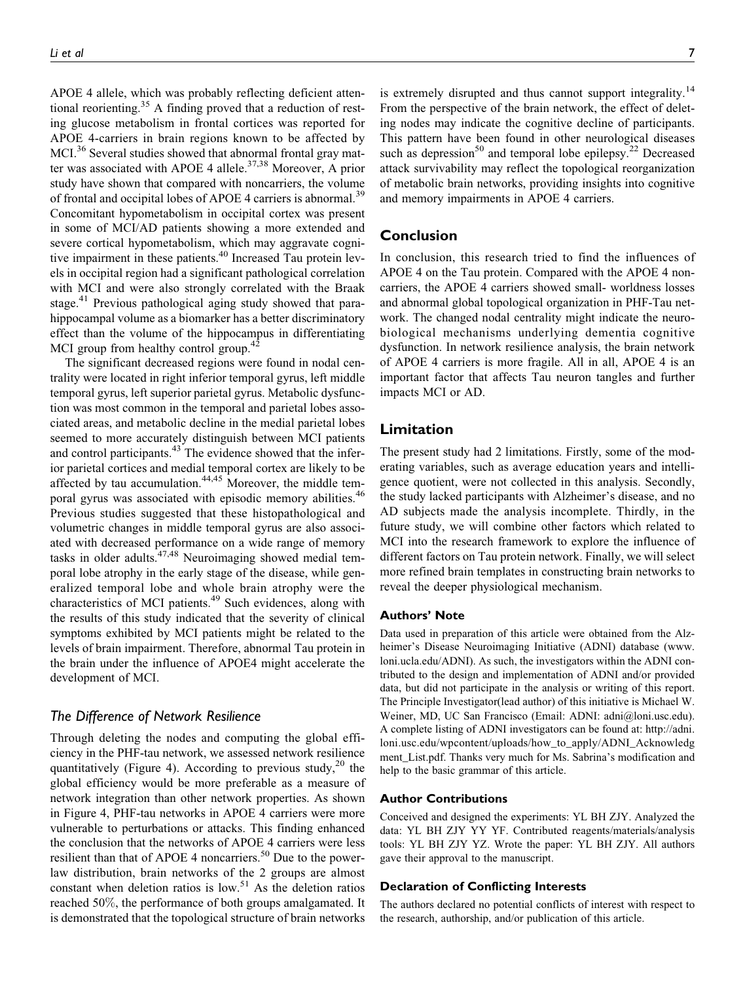APOE 4 allele, which was probably reflecting deficient attentional reorienting.<sup>35</sup> A finding proved that a reduction of resting glucose metabolism in frontal cortices was reported for APOE 4-carriers in brain regions known to be affected by MCI.<sup>36</sup> Several studies showed that abnormal frontal gray matter was associated with APOE 4 allele.<sup>37,38</sup> Moreover, A prior study have shown that compared with noncarriers, the volume of frontal and occipital lobes of APOE 4 carriers is abnormal.<sup>39</sup> Concomitant hypometabolism in occipital cortex was present in some of MCI/AD patients showing a more extended and severe cortical hypometabolism, which may aggravate cognitive impairment in these patients.<sup>40</sup> Increased Tau protein levels in occipital region had a significant pathological correlation with MCI and were also strongly correlated with the Braak stage.<sup>41</sup> Previous pathological aging study showed that parahippocampal volume as a biomarker has a better discriminatory effect than the volume of the hippocampus in differentiating MCI group from healthy control group.<sup>42</sup>

The significant decreased regions were found in nodal centrality were located in right inferior temporal gyrus, left middle temporal gyrus, left superior parietal gyrus. Metabolic dysfunction was most common in the temporal and parietal lobes associated areas, and metabolic decline in the medial parietal lobes seemed to more accurately distinguish between MCI patients and control participants.<sup>43</sup> The evidence showed that the inferior parietal cortices and medial temporal cortex are likely to be affected by tau accumulation. $44,45$  Moreover, the middle temporal gyrus was associated with episodic memory abilities.<sup>46</sup> Previous studies suggested that these histopathological and volumetric changes in middle temporal gyrus are also associated with decreased performance on a wide range of memory tasks in older adults.<sup>47,48</sup> Neuroimaging showed medial temporal lobe atrophy in the early stage of the disease, while generalized temporal lobe and whole brain atrophy were the characteristics of MCI patients.<sup>49</sup> Such evidences, along with the results of this study indicated that the severity of clinical symptoms exhibited by MCI patients might be related to the levels of brain impairment. Therefore, abnormal Tau protein in the brain under the influence of APOE4 might accelerate the development of MCI.

### *The Difference of Network Resilience*

Through deleting the nodes and computing the global efficiency in the PHF-tau network, we assessed network resilience quantitatively (Figure 4). According to previous study,<sup>20</sup> the global efficiency would be more preferable as a measure of network integration than other network properties. As shown in Figure 4, PHF-tau networks in APOE 4 carriers were more vulnerable to perturbations or attacks. This finding enhanced the conclusion that the networks of APOE 4 carriers were less resilient than that of APOE 4 noncarriers.<sup>50</sup> Due to the powerlaw distribution, brain networks of the 2 groups are almost constant when deletion ratios is low.<sup>51</sup> As the deletion ratios reached 50%, the performance of both groups amalgamated. It is demonstrated that the topological structure of brain networks

is extremely disrupted and thus cannot support integrality.<sup>14</sup> From the perspective of the brain network, the effect of deleting nodes may indicate the cognitive decline of participants. This pattern have been found in other neurological diseases such as depression<sup>50</sup> and temporal lobe epilepsy.<sup>22</sup> Decreased attack survivability may reflect the topological reorganization of metabolic brain networks, providing insights into cognitive and memory impairments in APOE 4 carriers.

# **Conclusion**

In conclusion, this research tried to find the influences of APOE 4 on the Tau protein. Compared with the APOE 4 noncarriers, the APOE 4 carriers showed small- worldness losses and abnormal global topological organization in PHF-Tau network. The changed nodal centrality might indicate the neurobiological mechanisms underlying dementia cognitive dysfunction. In network resilience analysis, the brain network of APOE 4 carriers is more fragile. All in all, APOE 4 is an important factor that affects Tau neuron tangles and further impacts MCI or AD.

### **Limitation**

The present study had 2 limitations. Firstly, some of the moderating variables, such as average education years and intelligence quotient, were not collected in this analysis. Secondly, the study lacked participants with Alzheimer's disease, and no AD subjects made the analysis incomplete. Thirdly, in the future study, we will combine other factors which related to MCI into the research framework to explore the influence of different factors on Tau protein network. Finally, we will select more refined brain templates in constructing brain networks to reveal the deeper physiological mechanism.

### **Authors' Note**

Data used in preparation of this article were obtained from the Alzheimer's Disease Neuroimaging Initiative (ADNI) database [\(www.](http://www.loni.ucla.edu/ADNI) [loni.ucla.edu/ADNI](http://www.loni.ucla.edu/ADNI)). As such, the investigators within the ADNI contributed to the design and implementation of ADNI and/or provided data, but did not participate in the analysis or writing of this report. The Principle Investigator(lead author) of this initiative is Michael W. Weiner, MD, UC San Francisco (Email: [ADNI: adni@loni.usc.edu\)](mailto:ADNI: adni@loni.usc.edu). A complete listing of ADNI investigators can be found at: [http://adni.](http://adni.loni.usc.edu/wpcontent/uploads/how_to_apply/ADNI_Acknowledgment_List.pdf) [loni.usc.edu/wpcontent/uploads/how\\_to\\_apply/ADNI\\_Acknowledg](http://adni.loni.usc.edu/wpcontent/uploads/how_to_apply/ADNI_Acknowledgment_List.pdf) [ment\\_List.pdf.](http://adni.loni.usc.edu/wpcontent/uploads/how_to_apply/ADNI_Acknowledgment_List.pdf) Thanks very much for Ms. Sabrina's modification and help to the basic grammar of this article.

### **Author Contributions**

Conceived and designed the experiments: YL BH ZJY. Analyzed the data: YL BH ZJY YY YF. Contributed reagents/materials/analysis tools: YL BH ZJY YZ. Wrote the paper: YL BH ZJY. All authors gave their approval to the manuscript.

#### **Declaration of Conflicting Interests**

The authors declared no potential conflicts of interest with respect to the research, authorship, and/or publication of this article.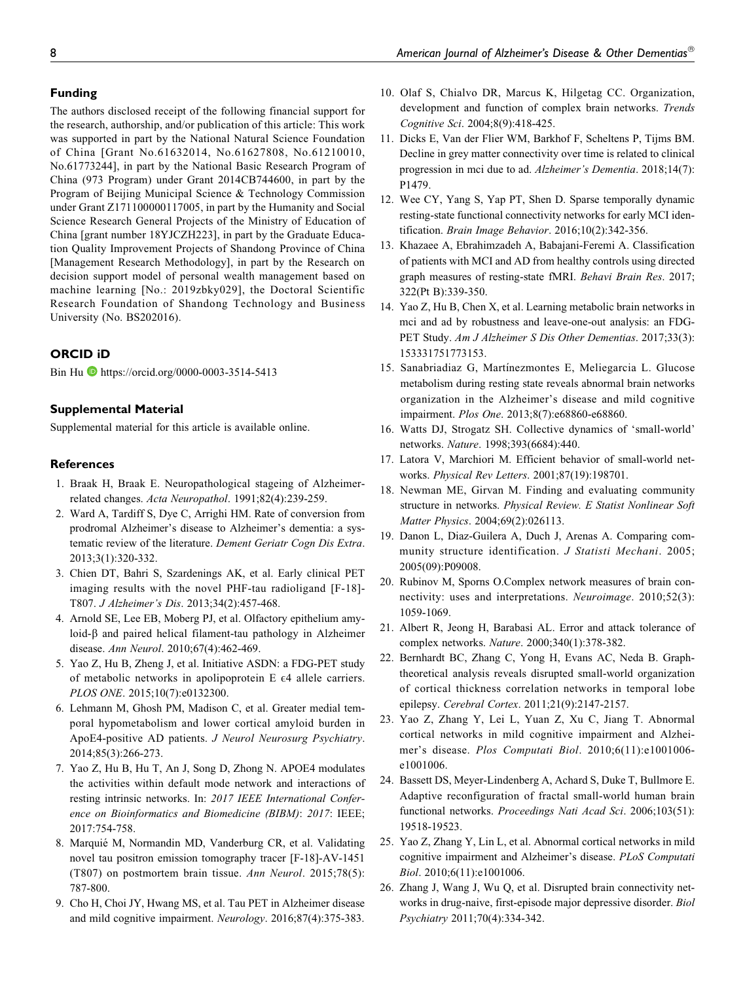# **Funding**

The authors disclosed receipt of the following financial support for the research, authorship, and/or publication of this article: This work was supported in part by the National Natural Science Foundation of China [Grant No.61632014, No.61627808, No.61210010, No.61773244], in part by the National Basic Research Program of China (973 Program) under Grant 2014CB744600, in part by the Program of Beijing Municipal Science & Technology Commission under Grant Z171100000117005, in part by the Humanity and Social Science Research General Projects of the Ministry of Education of China [grant number 18YJCZH223], in part by the Graduate Education Quality Improvement Projects of Shandong Province of China [Management Research Methodology], in part by the Research on decision support model of personal wealth management based on machine learning [No.: 2019zbky029], the Doctoral Scientific Research Foundation of Shandong Technology and Business University (No. BS202016).

# **ORCID iD**

Bin Hu <https://orcid.org/0000-0003-3514-5413>

# **Supplemental Material**

Supplemental material for this article is available online.

# **References**

- 1. Braak H, Braak E. Neuropathological stageing of Alzheimerrelated changes. Acta Neuropathol. 1991;82(4):239-259.
- 2. Ward A, Tardiff S, Dye C, Arrighi HM. Rate of conversion from prodromal Alzheimer's disease to Alzheimer's dementia: a systematic review of the literature. Dement Geriatr Cogn Dis Extra. 2013;3(1):320-332.
- 3. Chien DT, Bahri S, Szardenings AK, et al. Early clinical PET imaging results with the novel PHF-tau radioligand [F-18]- T807. J Alzheimer's Dis. 2013;34(2):457-468.
- 4. Arnold SE, Lee EB, Moberg PJ, et al. Olfactory epithelium amyloid-β and paired helical filament-tau pathology in Alzheimer disease. Ann Neurol. 2010;67(4):462-469.
- 5. Yao Z, Hu B, Zheng J, et al. Initiative ASDN: a FDG-PET study of metabolic networks in apolipoprotein  $E \in \mathcal{A}$  allele carriers. PLOS ONE. 2015;10(7):e0132300.
- 6. Lehmann M, Ghosh PM, Madison C, et al. Greater medial temporal hypometabolism and lower cortical amyloid burden in ApoE4-positive AD patients. J Neurol Neurosurg Psychiatry. 2014;85(3):266-273.
- 7. Yao Z, Hu B, Hu T, An J, Song D, Zhong N. APOE4 modulates the activities within default mode network and interactions of resting intrinsic networks. In: 2017 IEEE International Conference on Bioinformatics and Biomedicine (BIBM): 2017: IEEE; 2017:754-758.
- 8. Marquié M, Normandin MD, Vanderburg CR, et al. Validating novel tau positron emission tomography tracer [F-18]-AV-1451 (T807) on postmortem brain tissue. Ann Neurol. 2015;78(5): 787-800.
- 9. Cho H, Choi JY, Hwang MS, et al. Tau PET in Alzheimer disease and mild cognitive impairment. Neurology. 2016;87(4):375-383.
- 10. Olaf S, Chialvo DR, Marcus K, Hilgetag CC. Organization, development and function of complex brain networks. Trends Cognitive Sci. 2004;8(9):418-425.
- 11. Dicks E, Van der Flier WM, Barkhof F, Scheltens P, Tijms BM. Decline in grey matter connectivity over time is related to clinical progression in mci due to ad. Alzheimer's Dementia. 2018;14(7): P1479.
- 12. Wee CY, Yang S, Yap PT, Shen D. Sparse temporally dynamic resting-state functional connectivity networks for early MCI identification. Brain Image Behavior. 2016;10(2):342-356.
- 13. Khazaee A, Ebrahimzadeh A, Babajani-Feremi A. Classification of patients with MCI and AD from healthy controls using directed graph measures of resting-state fMRI. Behavi Brain Res. 2017; 322(Pt B):339-350.
- 14. Yao Z, Hu B, Chen X, et al. Learning metabolic brain networks in mci and ad by robustness and leave-one-out analysis: an FDG-PET Study. Am J Alzheimer S Dis Other Dementias. 2017;33(3): 153331751773153.
- 15. Sanabriadiaz G, Martínezmontes E, Meliegarcia L. Glucose metabolism during resting state reveals abnormal brain networks organization in the Alzheimer's disease and mild cognitive impairment. Plos One. 2013;8(7):e68860-e68860.
- 16. Watts DJ, Strogatz SH. Collective dynamics of 'small-world' networks. Nature. 1998;393(6684):440.
- 17. Latora V, Marchiori M. Efficient behavior of small-world networks. Physical Rev Letters. 2001;87(19):198701.
- 18. Newman ME, Girvan M. Finding and evaluating community structure in networks. Physical Review. E Statist Nonlinear Soft Matter Physics. 2004;69(2):026113.
- 19. Danon L, Diaz-Guilera A, Duch J, Arenas A. Comparing community structure identification. J Statisti Mechani. 2005; 2005(09):P09008.
- 20. Rubinov M, Sporns O.Complex network measures of brain connectivity: uses and interpretations. Neuroimage. 2010;52(3): 1059-1069.
- 21. Albert R, Jeong H, Barabasi AL. Error and attack tolerance of complex networks. Nature. 2000;340(1):378-382.
- 22. Bernhardt BC, Zhang C, Yong H, Evans AC, Neda B. Graphtheoretical analysis reveals disrupted small-world organization of cortical thickness correlation networks in temporal lobe epilepsy. Cerebral Cortex. 2011;21(9):2147-2157.
- 23. Yao Z, Zhang Y, Lei L, Yuan Z, Xu C, Jiang T. Abnormal cortical networks in mild cognitive impairment and Alzheimer's disease. Plos Computati Biol. 2010;6(11):e1001006 e1001006.
- 24. Bassett DS, Meyer-Lindenberg A, Achard S, Duke T, Bullmore E. Adaptive reconfiguration of fractal small-world human brain functional networks. Proceedings Nati Acad Sci. 2006;103(51): 19518-19523.
- 25. Yao Z, Zhang Y, Lin L, et al. Abnormal cortical networks in mild cognitive impairment and Alzheimer's disease. PLoS Computati Biol. 2010;6(11):e1001006.
- 26. Zhang J, Wang J, Wu Q, et al. Disrupted brain connectivity networks in drug-naive, first-episode major depressive disorder. Biol Psychiatry 2011;70(4):334-342.